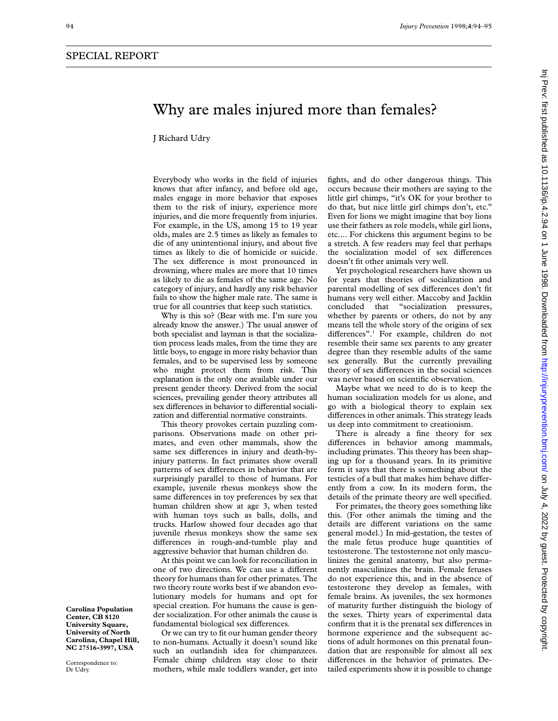## Why are males injured more than females?

J Richard Udry

Everybody who works in the field of injuries knows that after infancy, and before old age, males engage in more behavior that exposes them to the risk of injury, experience more injuries, and die more frequently from injuries. For example, in the US, among 15 to 19 year olds, males are 2.5 times as likely as females to die of any unintentional injury, and about five times as likely to die of homicide or suicide. The sex difference is most pronounced in drowning, where males are more that 10 times as likely to die as females of the same age. No category of injury, and hardly any risk behavior fails to show the higher male rate. The same is true for all countries that keep such statistics.

Why is this so? (Bear with me. I'm sure you already know the answer.) The usual answer of both specialist and layman is that the socialization process leads males, from the time they are little boys, to engage in more risky behavior than females, and to be supervised less by someone who might protect them from risk. This explanation is the only one available under our present gender theory. Derived from the social sciences, prevailing gender theory attributes all sex differences in behavior to differential socialization and differential normative constraints.

This theory provokes certain puzzling comparisons. Observations made on other primates, and even other mammals, show the same sex differences in injury and death-byinjury patterns. In fact primates show overall patterns of sex differences in behavior that are surprisingly parallel to those of humans. For example, juvenile rhesus monkeys show the same differences in toy preferences by sex that human children show at age 3, when tested with human toys such as balls, dolls, and trucks. Harlow showed four decades ago that juvenile rhesus monkeys show the same sex differences in rough-and-tumble play and aggressive behavior that human children do.

At this point we can look for reconciliation in one of two directions. We can use a different theory for humans than for other primates. The two theory route works best if we abandon evolutionary models for humans and opt for special creation. For humans the cause is gender socialization. For other animals the cause is fundamental biological sex differences.

Or we can try to fit our human gender theory to non-humans. Actually it doesn't sound like such an outlandish idea for chimpanzees. Female chimp children stay close to their mothers, while male toddlers wander, get into fights, and do other dangerous things. This occurs because their mothers are saying to the little girl chimps, "it's OK for your brother to do that, but nice little girl chimps don't, etc." Even for lions we might imagine that boy lions use their fathers as role models, while girl lions, etc.... For chickens this argument begins to be a stretch. A few readers may feel that perhaps the socialization model of sex differences doesn't fit other animals very well.

Yet psychological researchers have shown us for years that theories of socialization and parental modelling of sex differences don't fit humans very well either. Maccoby and Jacklin concluded that "socialization pressures, whether by parents or others, do not by any means tell the whole story of the origins of sex differences".<sup>1</sup> For example, children do not resemble their same sex parents to any greater degree than they resemble adults of the same sex generally. But the currently prevailing theory of sex differences in the social sciences was never based on scientific observation.

Maybe what we need to do is to keep the human socialization models for us alone, and go with a biological theory to explain sex differences in other animals. This strategy leads us deep into commitment to creationism.

There is already a fine theory for sex differences in behavior among mammals, including primates. This theory has been shaping up for a thousand years. In its primitive form it says that there is something about the testicles of a bull that makes him behave differently from a cow. In its modern form, the details of the primate theory are well specified.

For primates, the theory goes something like this. (For other animals the timing and the details are different variations on the same general model.) In mid-gestation, the testes of the male fetus produce huge quantities of testosterone. The testosterone not only masculinizes the genital anatomy, but also permanently masculinizes the brain. Female fetuses do not experience this, and in the absence of testosterone they develop as females, with female brains. As juveniles, the sex hormones of maturity further distinguish the biology of the sexes. Thirty years of experimental data confirm that it is the prenatal sex differences in hormone experience and the subsequent actions of adult hormones on this prenatal foundation that are responsible for almost all sex differences in the behavior of primates. Detailed experiments show it is possible to change

Inj Prev: first published as 10.1136/ip.4.2.94 on 1 June 1998. Downloaded from http://injuryprevention.bmj.com/ on July 4, 2022 by guest. Protected by copyright on July 4, 2022 by guest. Protected by copyright. <http://injuryprevention.bmj.com/> Inj Prev: first published as 10.1136/ip.4.2.94 on 1 June 1998. Downloaded from

**Carolina Population Center, CB 8120 University Square, University of North Carolina, Chapel Hill, NC 27516-3997, USA**

Correspondence to: Dr Udry.